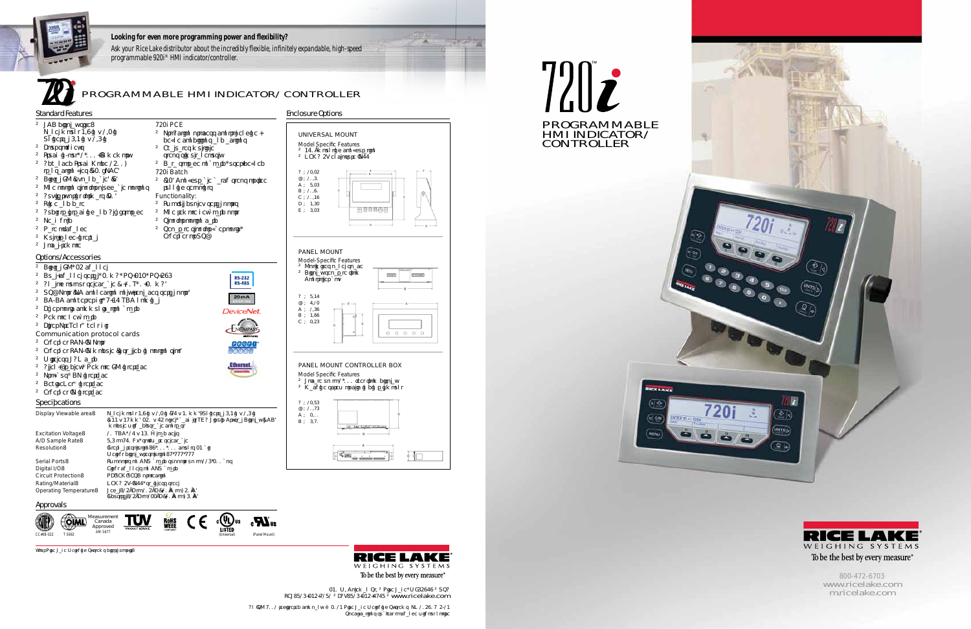



800-472-6703 www.icelake.com mricelake.com